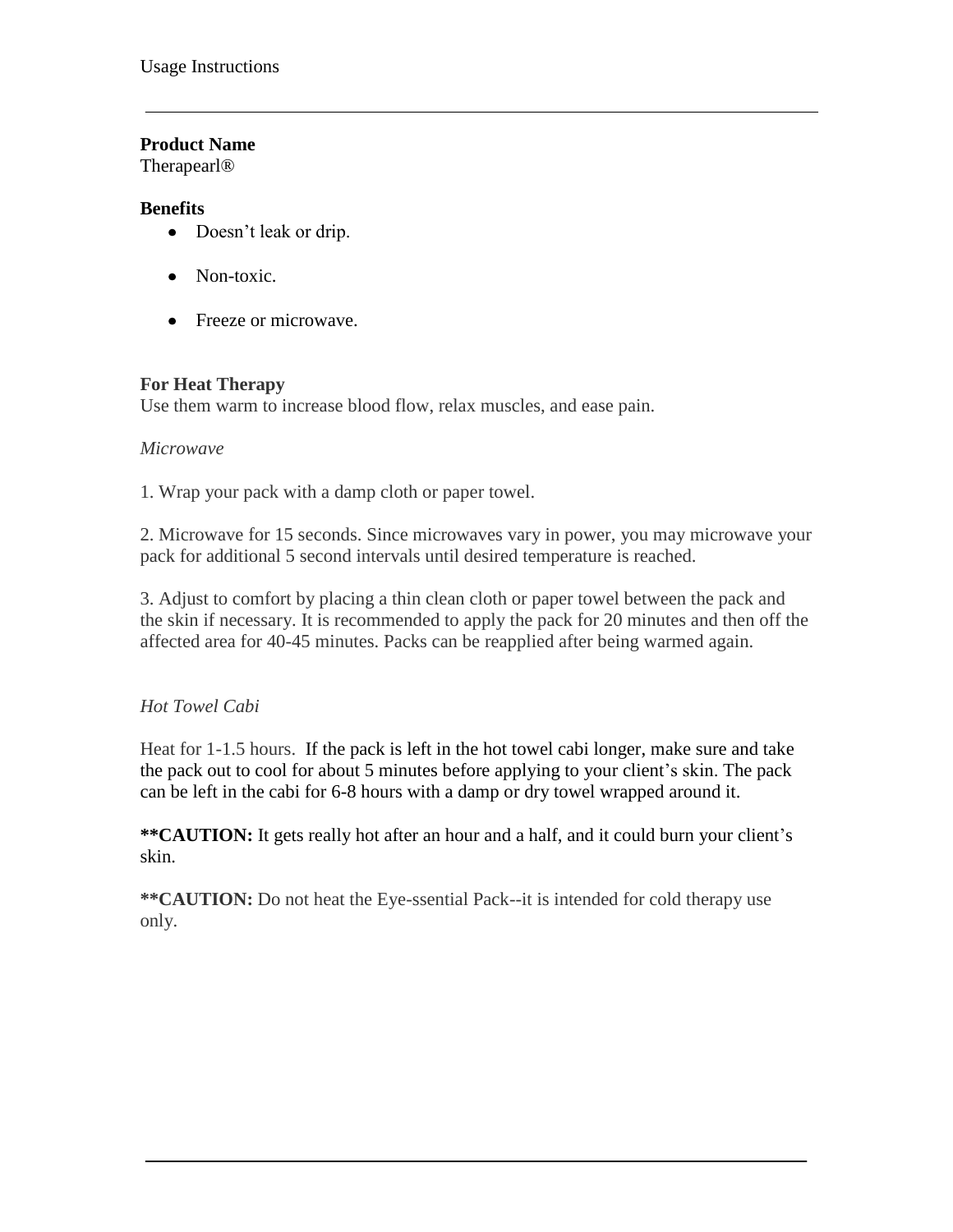### **Product Name**

Therapearl®

### **Benefits**

- Doesn't leak or drip.
- Non-toxic.
- Freeze or microwave.

### **For Heat Therapy**

Use them warm to increase blood flow, relax muscles, and ease pain.

#### *Microwave*

1. Wrap your pack with a damp cloth or paper towel.

2. Microwave for 15 seconds. Since microwaves vary in power, you may microwave your pack for additional 5 second intervals until desired temperature is reached.

3. Adjust to comfort by placing a thin clean cloth or paper towel between the pack and the skin if necessary. It is recommended to apply the pack for 20 minutes and then off the affected area for 40-45 minutes. Packs can be reapplied after being warmed again.

## *Hot Towel Cabi*

Heat for 1-1.5 hours. If the pack is left in the hot towel cabi longer, make sure and take the pack out to cool for about 5 minutes before applying to your client's skin. The pack can be left in the cabi for 6-8 hours with a damp or dry towel wrapped around it.

**\*\*CAUTION:** It gets really hot after an hour and a half, and it could burn your client's skin.

**\*\*CAUTION:** Do not heat the Eye-ssential Pack--it is intended for cold therapy use only.